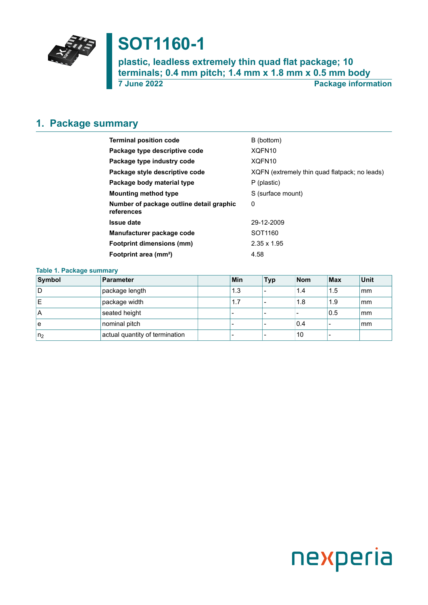

# **SOT1160-1**

**plastic, leadless extremely thin quad flat package; 10 terminals; 0.4 mm pitch; 1.4 mm x 1.8 mm x 0.5 mm body 7 June 2022 Package information**

#### <span id="page-0-0"></span>**1. Package summary**

| <b>Terminal position code</b>                          | B (bottom)                                    |
|--------------------------------------------------------|-----------------------------------------------|
| Package type descriptive code                          | XQFN <sub>10</sub>                            |
| Package type industry code                             | XQFN <sub>10</sub>                            |
| Package style descriptive code                         | XQFN (extremely thin quad flatpack; no leads) |
| Package body material type                             | P (plastic)                                   |
| <b>Mounting method type</b>                            | S (surface mount)                             |
| Number of package outline detail graphic<br>references | 0                                             |
| <b>Issue date</b>                                      | 29-12-2009                                    |
| Manufacturer package code                              | SOT <sub>1160</sub>                           |
| Footprint dimensions (mm)                              | $2.35 \times 1.95$                            |
| Footprint area (mm <sup>2</sup> )                      | 4.58                                          |

#### **Table 1. Package summary**

| Symbol         | Parameter                      | Min | <b>Typ</b> | <b>Nom</b> | <b>Max</b> | Unit |
|----------------|--------------------------------|-----|------------|------------|------------|------|
| ID.            | package length                 | 1.3 |            | 1.4        | 1.5        | mm   |
| ΙE             | package width                  | 1.7 |            | 1.8        | 1.9        | mm   |
| ۱A             | seated height                  |     |            |            | 0.5        | mm   |
| l e            | nominal pitch                  |     |            | 0.4        |            | mm   |
| n <sub>2</sub> | actual quantity of termination |     |            | 10         |            |      |

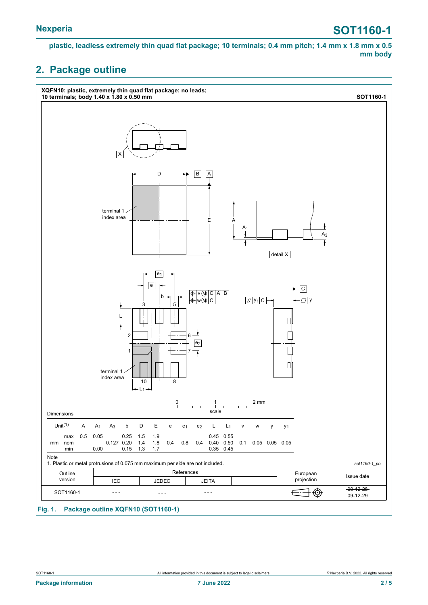**plastic, leadless extremely thin quad flat package; 10 terminals; 0.4 mm pitch; 1.4 mm x 1.8 mm x 0.5 mm body**

### <span id="page-1-0"></span>**2. Package outline**

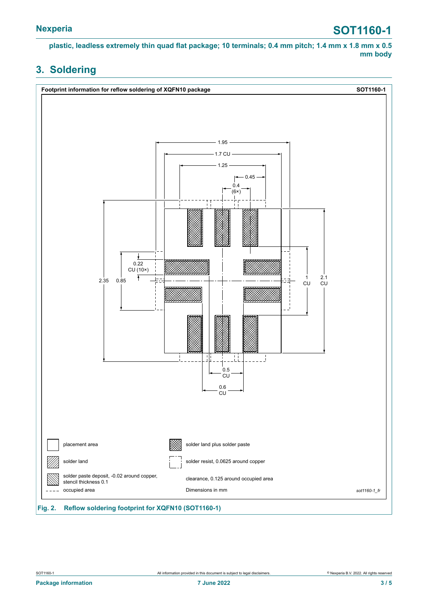# **Nexperia SOT1160-1**

**plastic, leadless extremely thin quad flat package; 10 terminals; 0.4 mm pitch; 1.4 mm x 1.8 mm x 0.5 mm body**

### <span id="page-2-0"></span>**3. Soldering**

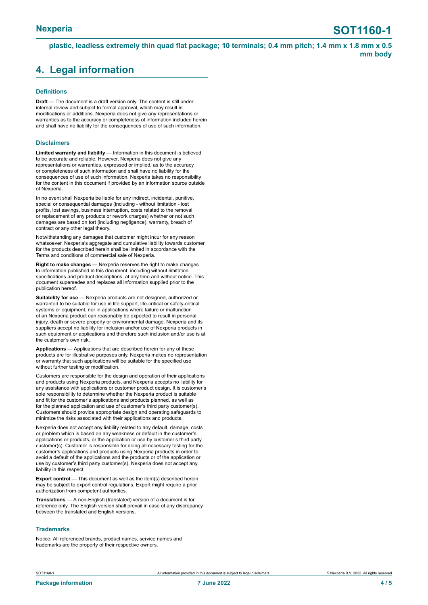**plastic, leadless extremely thin quad flat package; 10 terminals; 0.4 mm pitch; 1.4 mm x 1.8 mm x 0.5 mm body**

### <span id="page-3-0"></span>**4. Legal information**

#### **Definitions**

**Draft** — The document is a draft version only. The content is still under internal review and subject to formal approval, which may result in modifications or additions. Nexperia does not give any representations or warranties as to the accuracy or completeness of information included herein and shall have no liability for the consequences of use of such information.

#### **Disclaimers**

**Limited warranty and liability** — Information in this document is believed to be accurate and reliable. However, Nexperia does not give any representations or warranties, expressed or implied, as to the accuracy or completeness of such information and shall have no liability for the consequences of use of such information. Nexperia takes no responsibility for the content in this document if provided by an information source outside of Nexperia.

In no event shall Nexperia be liable for any indirect, incidental, punitive, special or consequential damages (including - without limitation - lost profits, lost savings, business interruption, costs related to the removal or replacement of any products or rework charges) whether or not such damages are based on tort (including negligence), warranty, breach of contract or any other legal theory.

Notwithstanding any damages that customer might incur for any reason whatsoever, Nexperia's aggregate and cumulative liability towards customer for the products described herein shall be limited in accordance with the Terms and conditions of commercial sale of Nexperia.

**Right to make changes** — Nexperia reserves the right to make changes to information published in this document, including without limitation specifications and product descriptions, at any time and without notice. This document supersedes and replaces all information supplied prior to the publication hereof.

**Suitability for use** — Nexperia products are not designed, authorized or warranted to be suitable for use in life support, life-critical or safety-critical systems or equipment, nor in applications where failure or malfunction of an Nexperia product can reasonably be expected to result in personal injury, death or severe property or environmental damage. Nexperia and its suppliers accept no liability for inclusion and/or use of Nexperia products in such equipment or applications and therefore such inclusion and/or use is at the customer's own risk.

**Applications** — Applications that are described herein for any of these products are for illustrative purposes only. Nexperia makes no representation or warranty that such applications will be suitable for the specified use without further testing or modification.

Customers are responsible for the design and operation of their applications and products using Nexperia products, and Nexperia accepts no liability for any assistance with applications or customer product design. It is customer's sole responsibility to determine whether the Nexperia product is suitable and fit for the customer's applications and products planned, as well as for the planned application and use of customer's third party customer(s). Customers should provide appropriate design and operating safeguards to minimize the risks associated with their applications and products.

Nexperia does not accept any liability related to any default, damage, costs or problem which is based on any weakness or default in the customer's applications or products, or the application or use by customer's third party customer(s). Customer is responsible for doing all necessary testing for the customer's applications and products using Nexperia products in order to avoid a default of the applications and the products or of the application or use by customer's third party customer(s). Nexperia does not accept any liability in this respect.

**Export control** — This document as well as the item(s) described herein may be subject to export control regulations. Export might require a prior authorization from competent authorities.

**Translations** — A non-English (translated) version of a document is for reference only. The English version shall prevail in case of any discrepancy between the translated and English versions.

#### **Trademarks**

Notice: All referenced brands, product names, service names and trademarks are the property of their respective owners.